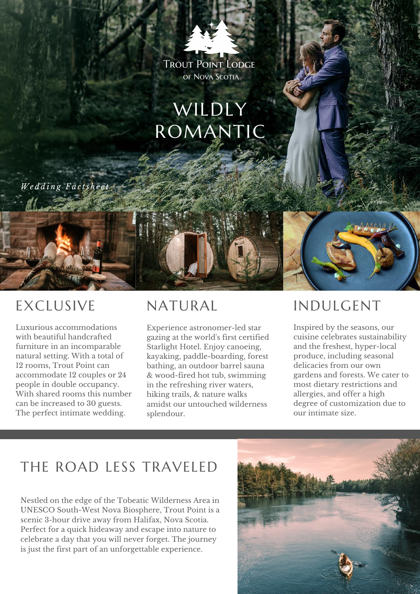### TROUT POINT LODGE OF NOVA SCOTIA

# WILDLY ROMANTIC

*W e d d i n g F a c t s h e e t*

## EXCLUSIVE

Luxurious accommodations with beautiful handcrafted furniture in an incomparable natural setting. With a total of 12 rooms, Trout Point can accommodate 12 couples or 24 people in double occupancy. With shared rooms this number can be increased to 30 guests. The perfect intimate wedding.

## NATURAL

Experience astronomer-led star gazing at the world's first certified Starlight Hotel. Enjoy canoeing, kayaking, paddle-boarding, forest bathing, an outdoor barrel sauna & wood-fired hot tub, swimming in the refreshing river waters, hiking trails, & nature walks amidst our untouched wilderness splendour.

### INDULGENT

Inspired by the seasons, our cuisine celebrates sustainability and the freshest, hyper-local produce, including seasonal delicacies from our own gardens and forests. We cater to most dietary restrictions and allergies, and offer a high degree of customization due to our intimate size.

## THE ROAD LESS TRAVELED

Nestled on the edge of the Tobeatic Wilderness Area in UNESCO South-West Nova Biosphere, Trout Point is a scenic 3-hour drive away from Halifax, Nova Scotia. Perfect for a quick hideaway and escape into nature to celebrate a day that you will never forget. The journey is just the first part of an unforgettable experience.